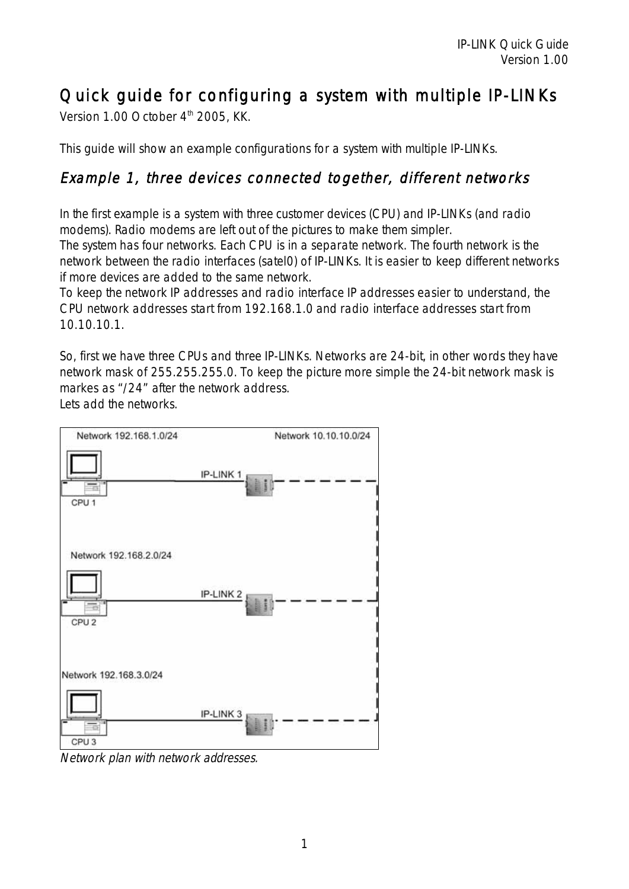# Quick guide for configuring a system with multiple IP-LINKs

Version 1.00 October 4<sup>th</sup> 2005, KK.

This guide will show an example configurations for a system with multiple IP-LINKs.

#### Example 1, three devices connected together, different networks

In the first example is a system with three customer devices (CPU) and IP-LINKs (and radio modems). Radio modems are left out of the pictures to make them simpler.

The system has four networks. Each CPU is in a separate network. The fourth network is the network between the radio interfaces (satel0) of IP-LINKs. It is easier to keep different networks if more devices are added to the same network.

To keep the network IP addresses and radio interface IP addresses easier to understand, the CPU network addresses start from 192.168.1.0 and radio interface addresses start from 10.10.10.1.

So, first we have three CPUs and three IP-LINKs. Networks are 24-bit, in other words they have network mask of 255.255.255.0. To keep the picture more simple the 24-bit network mask is markes as "/24" after the network address.

Lets add the networks.



Network plan with network addresses.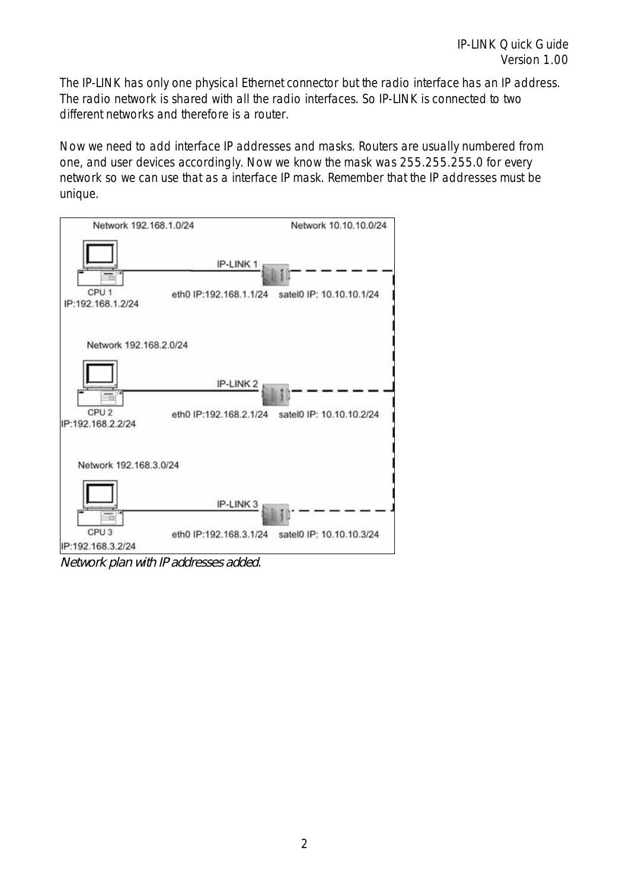The IP-LINK has only one physical Ethernet connector but the radio interface has an IP address. The radio network is shared with all the radio interfaces. So IP-LINK is connected to two different networks and therefore is a router.

Now we need to add interface IP addresses and masks. Routers are usually numbered from one, and user devices accordingly. Now we know the mask was 255.255.255.0 for every network so we can use that as a interface IP mask. Remember that the IP addresses must be unique.



Network plan with IP addresses added.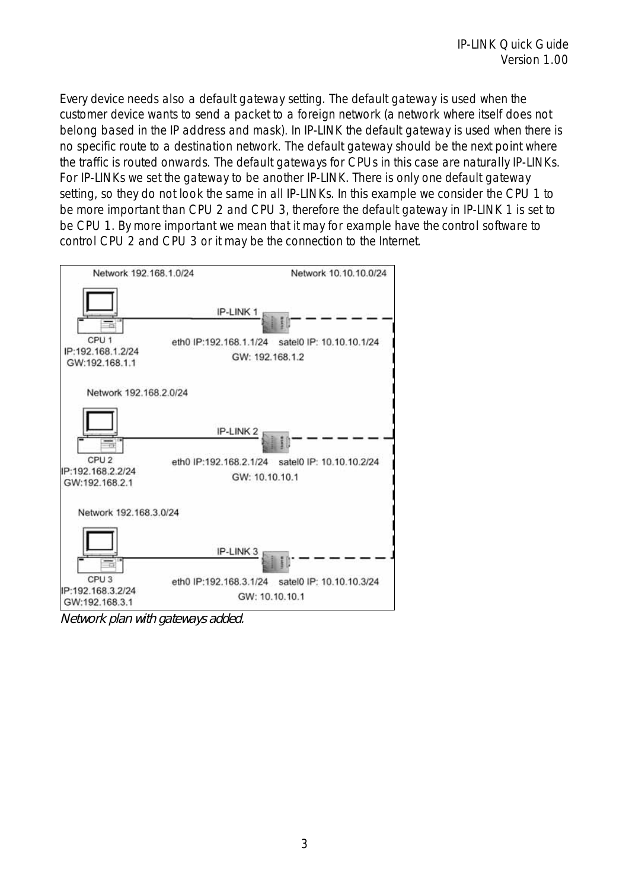Every device needs also a default gateway setting. The default gateway is used when the customer device wants to send a packet to a foreign network (a network where itself does not belong based in the IP address and mask). In IP-LINK the default gateway is used when there is no specific route to a destination network. The default gateway should be the next point where the traffic is routed onwards. The default gateways for CPUs in this case are naturally IP-LINKs. For IP-LINKs we set the gateway to be another IP-LINK. There is only one default gateway setting, so they do not look the same in all IP-LINKs. In this example we consider the CPU 1 to be more important than CPU 2 and CPU 3, therefore the default gateway in IP-LINK 1 is set to be CPU 1. By more important we mean that it may for example have the control software to control CPU 2 and CPU 3 or it may be the connection to the Internet.



Network plan with gateways added.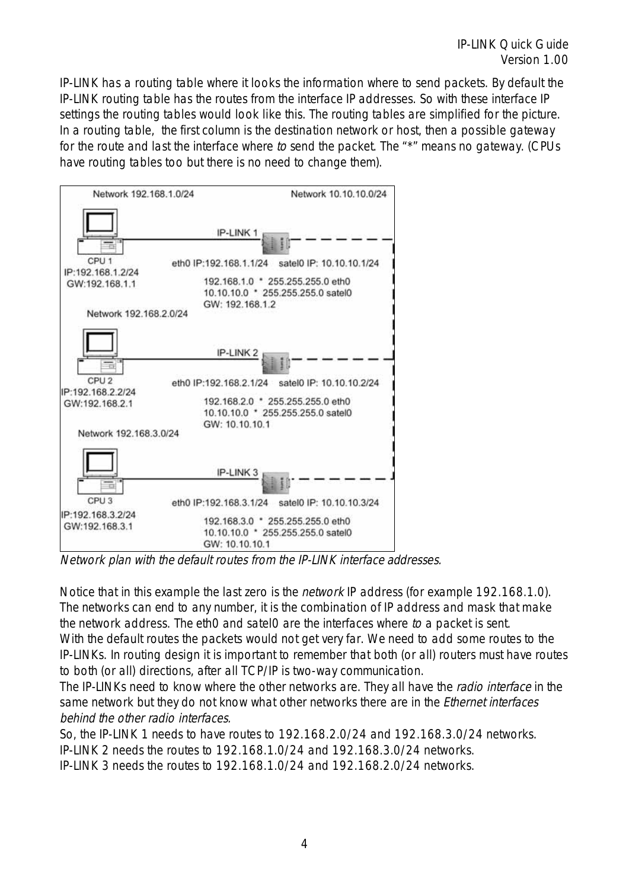IP-LINK has a routing table where it looks the information where to send packets. By default the IP-LINK routing table has the routes from the interface IP addresses. So with these interface IP settings the routing tables would look like this. The routing tables are simplified for the picture. In a routing table, the first column is the destination network or host, then a possible gateway for the route and last the interface where to send the packet. The "\*" means no gateway. (CPUs have routing tables too but there is no need to change them).



Network plan with the default routes from the IP-LINK interface addresses.

Notice that in this example the last zero is the *network* IP address (for example 192.168.1.0). The networks can end to any number, it is the combination of IP address and mask that make the network address. The eth0 and satel0 are the interfaces where to a packet is sent. With the default routes the packets would not get very far. We need to add some routes to the IP-LINKs. In routing design it is important to remember that both (or all) routers must have routes to both (or all) directions, after all TCP/IP is two-way communication.

The IP-LINKs need to know where the other networks are. They all have the radio interface in the same network but they do not know what other networks there are in the *Ethernet interfaces* behind the other radio interfaces.

So, the IP-LINK 1 needs to have routes to 192.168.2.0/24 and 192.168.3.0/24 networks. IP-LINK 2 needs the routes to 192.168.1.0/24 and 192.168.3.0/24 networks.

IP-LINK 3 needs the routes to 192.168.1.0/24 and 192.168.2.0/24 networks.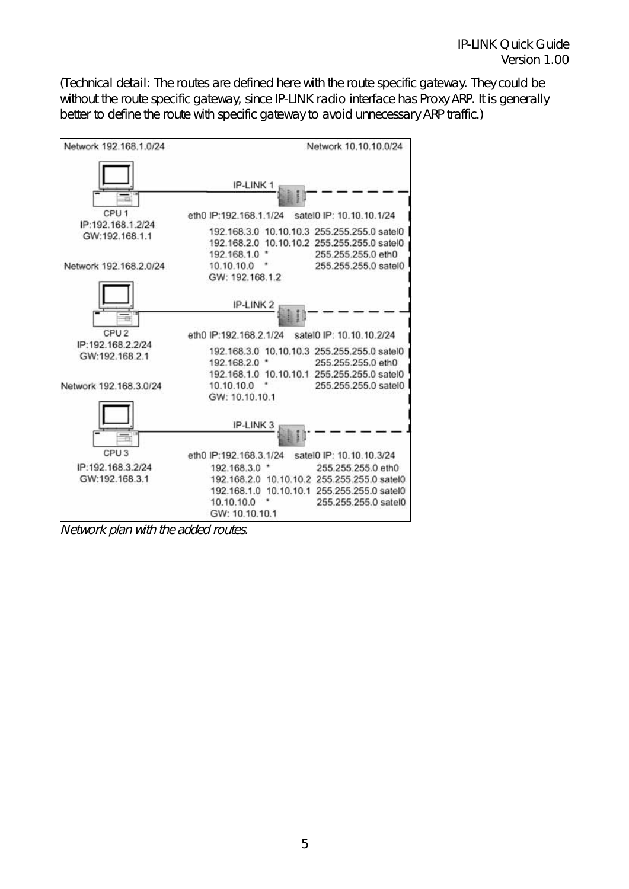(Technical detail: The routes are defined here with the route specific gateway. They could be without the route specific gateway, since IP-LINK radio interface has Proxy ARP. It is generally better to define the route with specific gateway to avoid unnecessary ARP traffic.)



Network plan with the added routes.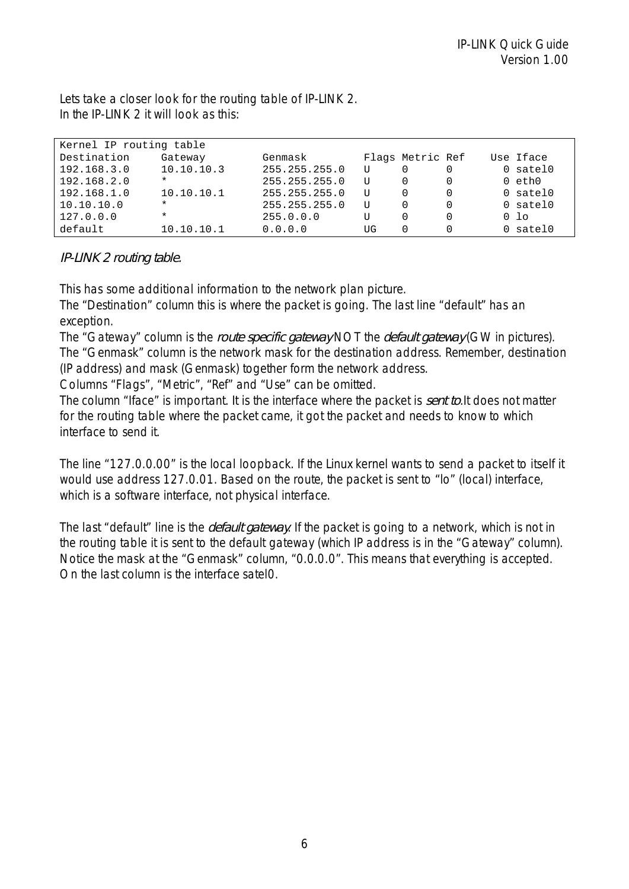Lets take a closer look for the routing table of IP-LINK 2. In the IP-LINK 2 it will look as this:

| Kernel IP routing table |            |               |    |                  |          |               |
|-------------------------|------------|---------------|----|------------------|----------|---------------|
| Destination             | Gateway    | Genmask       |    | Flags Metric Ref |          | Use Iface     |
| 192.168.3.0             | 10.10.10.3 | 255.255.255.0 |    |                  |          | $0$ satel $0$ |
| 192.168.2.0             | $\star$    | 255.255.255.0 |    | 0                |          | 0 eth0        |
| 192.168.1.0             | 10.10.10.1 | 255.255.255.0 |    | 0                |          | 0 satel0      |
| 10.10.10.0              | $\star$    | 255.255.255.0 |    |                  |          | $0$ satel $0$ |
| 127.0.0.0               | $\star$    | 255.0.0.0     |    | 0                | $\Omega$ | $0$ lo        |
| default                 | 10.10.10.1 | 0.0.0.0       | UG |                  |          | 0 satel0      |

IP-LINK 2 routing table.

This has some additional information to the network plan picture.

The "Destination" column this is where the packet is going. The last line "default" has an exception.

The "Gateway" column is the *route specific gateway* NOT the *default gateway* (GW in pictures). The "Genmask" column is the network mask for the destination address. Remember, destination (IP address) and mask (Genmask) together form the network address.

Columns "Flags", "Metric", "Ref" and "Use" can be omitted.

The column "Iface" is important. It is the interface where the packet is *sent to*.It does not matter for the routing table where the packet came, it got the packet and needs to know to which interface to send it.

The line "127.0.0.00" is the local loopback. If the Linux kernel wants to send a packet to itself it would use address 127.0.01. Based on the route, the packet is sent to "lo" (local) interface, which is a software interface, not physical interface.

The last "default" line is the *default gateway*. If the packet is going to a network, which is not in the routing table it is sent to the default gateway (which IP address is in the "Gateway" column). Notice the mask at the "Genmask" column, "0.0.0.0". This means that everything is accepted. On the last column is the interface satel0.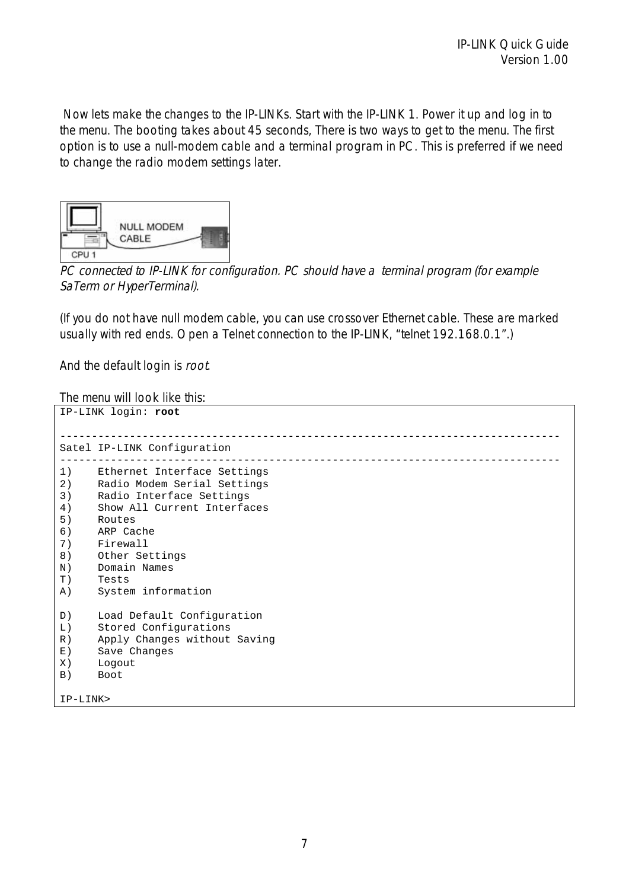Now lets make the changes to the IP-LINKs. Start with the IP-LINK 1. Power it up and log in to the menu. The booting takes about 45 seconds, There is two ways to get to the menu. The first option is to use a null-modem cable and a terminal program in PC. This is preferred if we need to change the radio modem settings later.



PC connected to IP-LINK for configuration. PC should have a terminal program (for example SaTerm or HyperTerminal).

(If you do not have null modem cable, you can use crossover Ethernet cable. These are marked usually with red ends. Open a Telnet connection to the IP-LINK, "telnet 192.168.0.1".)

And the default login is root.

The menu will look like this:

| IP-LINK login: root                |  |
|------------------------------------|--|
|                                    |  |
|                                    |  |
| Satel IP-LINK Configuration        |  |
|                                    |  |
| Ethernet Interface Settings<br>1)  |  |
| Radio Modem Serial Settings<br>2)  |  |
| Radio Interface Settings<br>3)     |  |
| 4)<br>Show All Current Interfaces  |  |
| 5)<br>Routes                       |  |
| 6)<br>ARP Cache                    |  |
| 7)<br>Firewall                     |  |
| 8)<br>Other Settings               |  |
| Domain Names<br>N)                 |  |
| T)<br>Tests                        |  |
| System information<br>A)           |  |
|                                    |  |
| Load Default Configuration<br>D)   |  |
| Stored Configurations<br>L)        |  |
| Apply Changes without Saving<br>R) |  |
| Save Changes<br>$E$ )              |  |
| X)<br>Logout                       |  |
| $\vert B \rangle$<br>Boot          |  |
|                                    |  |
| IP-LINK>                           |  |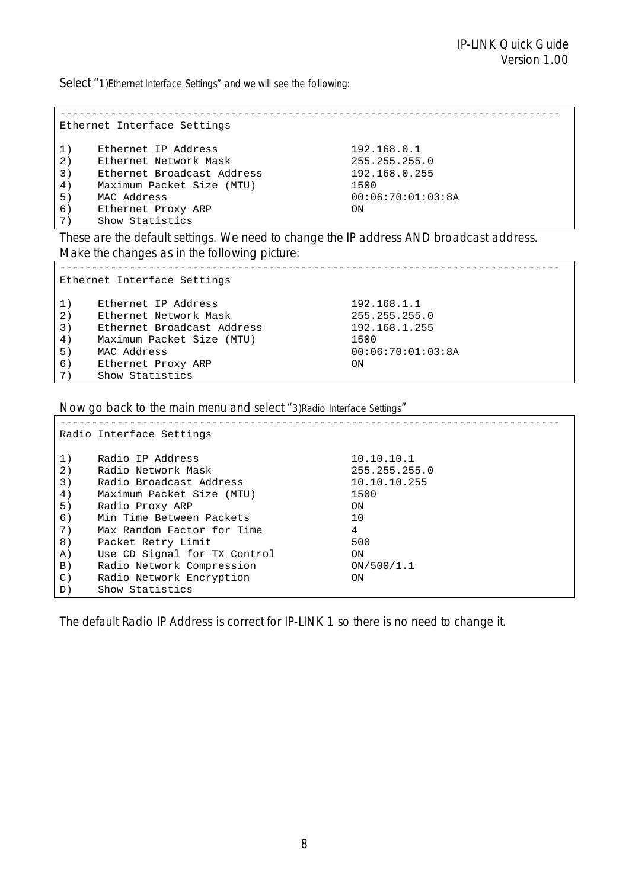Select "1)Ethernet Interface Settings" and we will see the following:

------------------------------------------------------------------------------- Ethernet Interface Settings 1) Ethernet IP Address 192.168.0.1 2) Ethernet Network Mask 255.255.255.0 3) Ethernet Broadcast Address 192.168.0.255 4) Maximum Packet Size (MTU) 1500 5) MAC Address 00:06:70:01:03:8A 6) Ethernet Proxy ARP ON 7) Show Statistics

These are the default settings. We need to change the IP address AND broadcast address. Make the changes as in the following picture:

|    | Ethernet Interface Settings |                   |
|----|-----------------------------|-------------------|
|    |                             |                   |
| 1) | Ethernet IP Address         | 192.168.1.1       |
| 2) | Ethernet Network Mask       | 255.255.255.0     |
| 3) | Ethernet Broadcast Address  | 192.168.1.255     |
| 4) | Maximum Packet Size (MTU)   | 1500              |
| 5) | MAC Address                 | 00:06:70:01:03:8A |
| 6) | Ethernet Proxy ARP          | ON                |
| 7) | Show Statistics             |                   |

Now go back to the main menu and select "3)Radio Interface Settings"

|                   | Radio Interface Settings     |               |
|-------------------|------------------------------|---------------|
|                   |                              |               |
| 1)                | Radio IP Address             | 10.10.10.1    |
| 2)                | Radio Network Mask           | 255.255.255.0 |
| 3)                | Radio Broadcast Address      | 10.10.10.255  |
| 4)                | Maximum Packet Size (MTU)    | 1500          |
| 5)                | Radio Proxy ARP              | ON            |
| 6)                | Min Time Between Packets     | 10            |
| 7)                | Max Random Factor for Time   | 4             |
| 8)                | Packet Retry Limit           | 500           |
| A)                | Use CD Signal for TX Control | ON            |
| $\vert B \rangle$ | Radio Network Compression    | ON/500/1.1    |
| $\mathcal{C}$ )   | Radio Network Encryption     | ON            |
| D)                | Show Statistics              |               |

The default Radio IP Address is correct for IP-LINK 1 so there is no need to change it.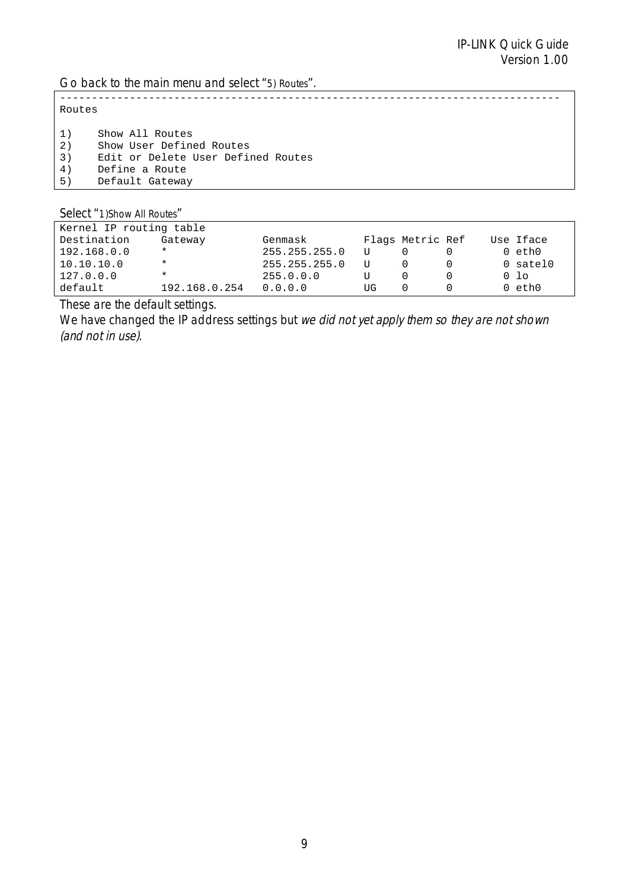Go back to the main menu and select "5) Routes".

Routes 1) Show All Routes<br>2) Show User Define 2) Show User Defined Routes<br>3) Edit or Delete User Defin 3) Edit or Delete User Defined Routes<br>4) Define a Route 4) Define a Route<br>5) Default Gatewa Default Gateway

Select "1)Show All Routes"

| Kernel IP routing table |               |               |    |                  |  |                 |
|-------------------------|---------------|---------------|----|------------------|--|-----------------|
| Destination             | Gateway       | Genmask       |    | Flags Metric Ref |  | Use Iface       |
| 192.168.0.0             | $\star$       | 255.255.255.0 |    |                  |  | $0$ eth $0$     |
| 10.10.10.0              | $\star$       | 255.255.255.0 |    |                  |  | $0$ satel $0$   |
| 127.0.0.0               | $\star$       | 255.0.0.0     |    |                  |  | 0 <sub>10</sub> |
| default                 | 192.168.0.254 | 0.0.0.0       | UG |                  |  | $0$ eth $0$     |

-------------------------------------------------------------------------------

These are the default settings.

We have changed the IP address settings but we did not yet apply them so they are not shown (and not in use).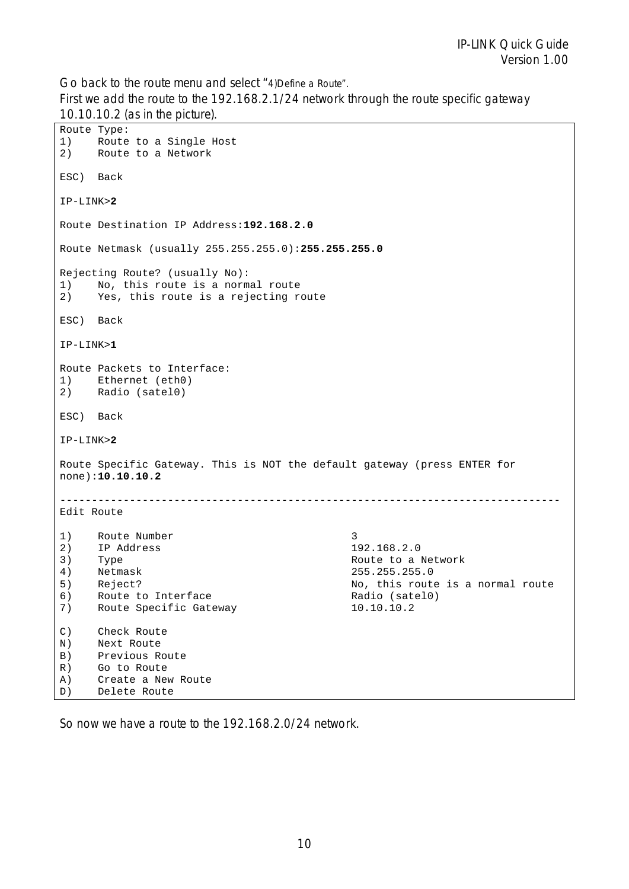Go back to the route menu and select "4)Define a Route".

First we add the route to the 192.168.2.1/24 network through the route specific gateway 10.10.10.2 (as in the picture).

```
Route Type: 
1) Route to a Single Host 
2) Route to a Network 
ESC) Back 
IP-LINK>2
Route Destination IP Address:192.168.2.0
Route Netmask (usually 255.255.255.0):255.255.255.0
Rejecting Route? (usually No): 
1) No, this route is a normal route 
2) Yes, this route is a rejecting route 
ESC) Back 
IP-LINK>1
Route Packets to Interface: 
1) Ethernet (eth0) 
2) Radio (satel0) 
ESC) Back 
IP-LINK>2
Route Specific Gateway. This is NOT the default gateway (press ENTER for 
none):10.10.10.2
------------------------------------------------------------------------------- 
Edit Route 
1) Route Number 3 
2) IP Address 192.168.2.0<br>3) Type Route to a l
3) Type Route to a Network<br>
4) Netmask Route 255.255.255.0
4) Netmask 255.255.255.0 
5) Reject? Refect? Refects Report No, this route is a normal route
6) Route to Interface Radio (satel0)<br>
Route Specific Gateway (10.10.10.2)
7) Route Specific Gateway
C) Check Route 
N) Next Route 
B) Previous Route 
R) Go to Route 
A) Create a New Route 
D) Delete Route
```
So now we have a route to the 192.168.2.0/24 network.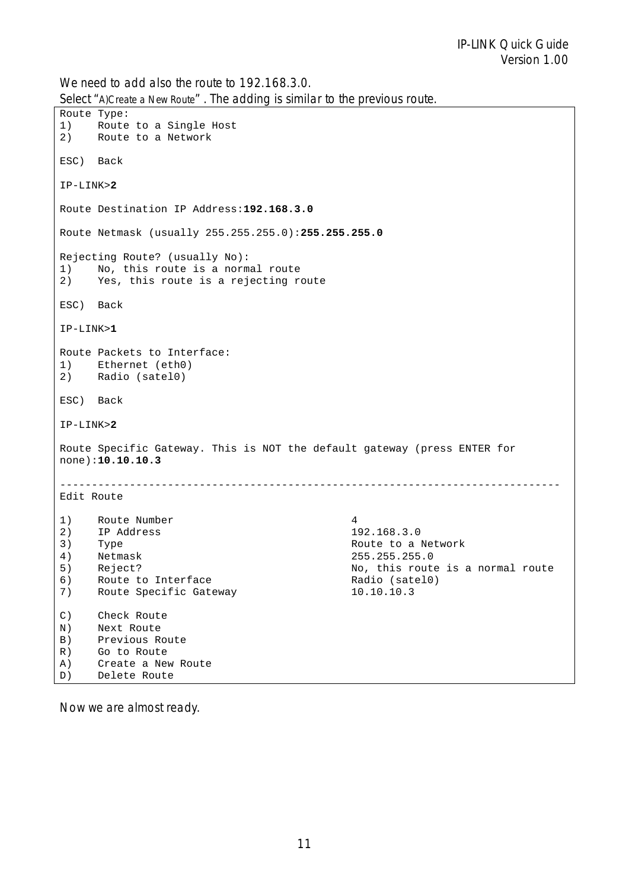We need to add also the route to 192.168.3.0.

Select "A)Create a New Route" . The adding is similar to the previous route.

```
Route Type: 
1) Route to a Single Host 
2) Route to a Network 
ESC) Back 
IP-LINK>2
Route Destination IP Address:192.168.3.0
Route Netmask (usually 255.255.255.0):255.255.255.0
Rejecting Route? (usually No): 
1) No, this route is a normal route 
2) Yes, this route is a rejecting route 
ESC) Back 
IP-LINK>1
Route Packets to Interface: 
1) Ethernet (eth0) 
2) Radio (satel0) 
ESC) Back 
IP-LINK>2
Route Specific Gateway. This is NOT the default gateway (press ENTER for 
none):10.10.10.3
 ------------------------------------------------------------------------------- 
Edit Route 
1) Route Number 4 
2) IP Address 192.168.3.0 
3) Type Route to a Network
4) Netmask 255.255.255.0 
5) Reject? Refect? Research Mo, this route is a normal route
6) Route to Interface Radio (satel0)
7) Route Specific Gateway 10.10.10.3 
C) Check Route 
N) Next Route 
B) Previous Route 
R) Go to Route 
A) Create a New Route 
D) Delete Route
```
Now we are almost ready.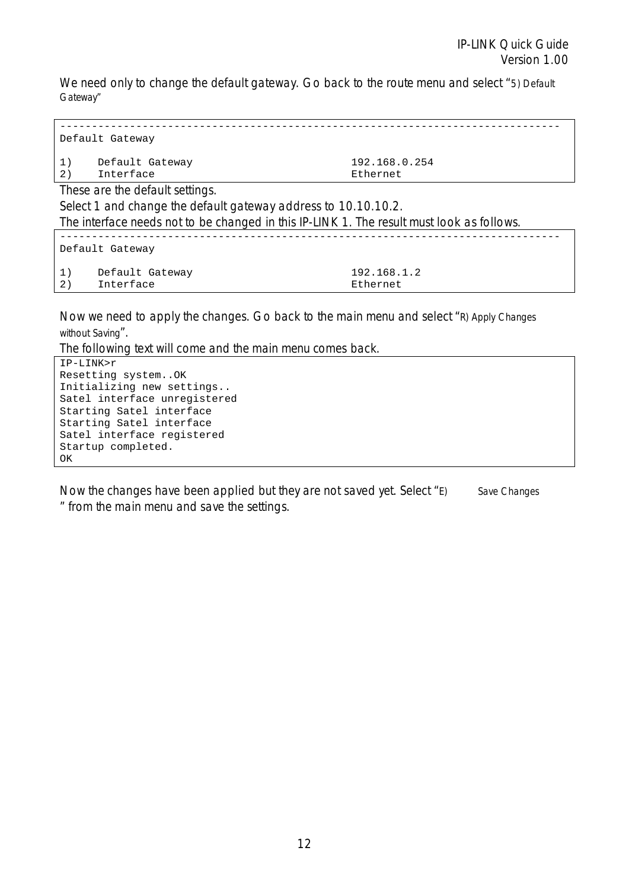We need only to change the default gateway. Go back to the route menu and select "5) Default Gateway"

#### ------------------------------------------------------------------------------- Default Gateway 1) Default Gateway 192.168.0.254 2) Interface Ethernet

These are the default settings.

Select 1 and change the default gateway address to 10.10.10.2. The interface needs not to be changed in this IP-LINK 1. The result must look as follows.

|    | Default Gateway |             |
|----|-----------------|-------------|
| 1) | Default Gateway | 192.168.1.2 |
| 2) | Interface       | Ethernet    |

Now we need to apply the changes. Go back to the main menu and select "R) Apply Changes without Saving".

The following text will come and the main menu comes back.

IP-LINK>r Resetting system..OK Initializing new settings.. Satel interface unregistered Starting Satel interface Starting Satel interface Satel interface registered Startup completed. OK

Now the changes have been applied but they are not saved yet. Select "E) save Changes " from the main menu and save the settings.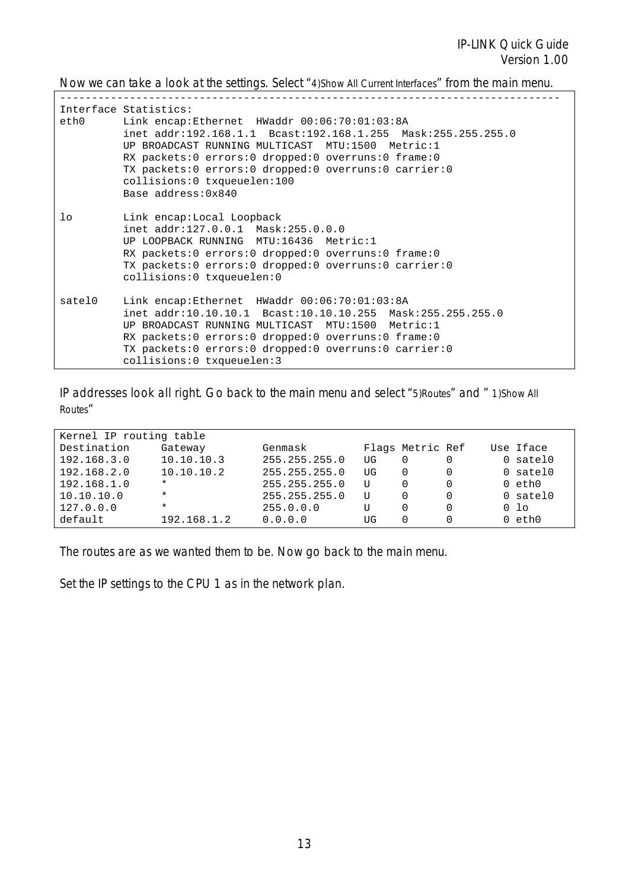Now we can take a look at the settings. Select "4)Show All Current Interfaces" from the main menu.

| eth0 ath | Interface Statistics:<br>Link encap:Ethernet HWaddr 00:06:70:01:03:8A<br>inet addr:192.168.1.1 Bcast:192.168.1.255 Mask:255.255.255.0<br>UP BROADCAST RUNNING MULTICAST MTU:1500 Metric:1<br>RX packets:0 errors:0 dropped:0 overruns:0 frame:0<br>TX packets:0 errors:0 dropped:0 overruns:0 carrier:0<br>collisions:0 txqueuelen:100<br>Base address: 0x840 |
|----------|---------------------------------------------------------------------------------------------------------------------------------------------------------------------------------------------------------------------------------------------------------------------------------------------------------------------------------------------------------------|
| $1\circ$ | Link encap:Local Loopback<br>inet addr:127.0.0.1 Mask:255.0.0.0<br>UP LOOPBACK RUNNING MTU:16436 Metric:1<br>RX packets:0 errors:0 dropped:0 overruns:0 frame:0<br>TX packets:0 errors:0 dropped:0 overruns:0 carrier:0<br>collisions:0 txqueuelen:0                                                                                                          |
| satelO   | Link encap:Ethernet HWaddr 00:06:70:01:03:8A<br>inet addr:10.10.10.1 Bcast:10.10.10.255 Mask:255.255.255.0<br>UP BROADCAST RUNNING MULTICAST MTU:1500 Metric:1<br>RX packets:0 errors:0 dropped:0 overruns:0 frame:0<br>TX packets:0 errors:0 dropped:0 overruns:0 carrier:0<br>collisions:0 txqueuelen:3                                                     |

IP addresses look all right. Go back to the main menu and select "5)Routes" and " 1)Show All Routes"

| Kernel IP routing table |             |               |    |                  |  |                 |
|-------------------------|-------------|---------------|----|------------------|--|-----------------|
| Destination             | Gateway     | Genmask       |    | Flags Metric Ref |  | Use Iface       |
| 192.168.3.0             | 10.10.10.3  | 255.255.255.0 | UG | 0                |  | $0$ satel $0$   |
| 192.168.2.0             | 10.10.10.2  | 255.255.255.0 | UG | 0                |  | $0$ satel $0$   |
| 192.168.1.0             | $\star$     | 255.255.255.0 |    | 0                |  | $0$ eth $0$     |
| 10.10.10.0              | $\star$     | 255.255.255.0 | U  | 0                |  | $0$ satel $0$   |
| 127.0.0.0               | $\star$     | 255.0.0.0     | U  | 0                |  | 0 <sub>10</sub> |
| default                 | 192.168.1.2 | 0.0.0.0       | UG | 0                |  | $0$ eth $0$     |

The routes are as we wanted them to be. Now go back to the main menu.

Set the IP settings to the CPU 1 as in the network plan.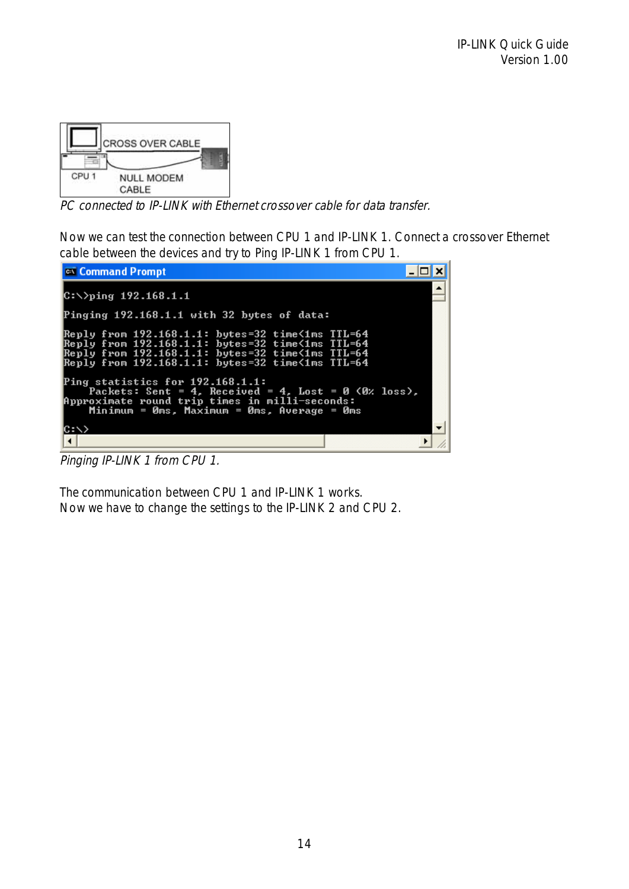

PC connected to IP-LINK with Ethernet crossover cable for data transfer.

Now we can test the connection between CPU 1 and IP-LINK 1. Connect a crossover Ethernet cable between the devices and try to Ping IP-LINK 1 from CPU 1.



Pinging IP-LINK 1 from CPU 1.

The communication between CPU 1 and IP-LINK 1 works. Now we have to change the settings to the IP-LINK 2 and CPU 2.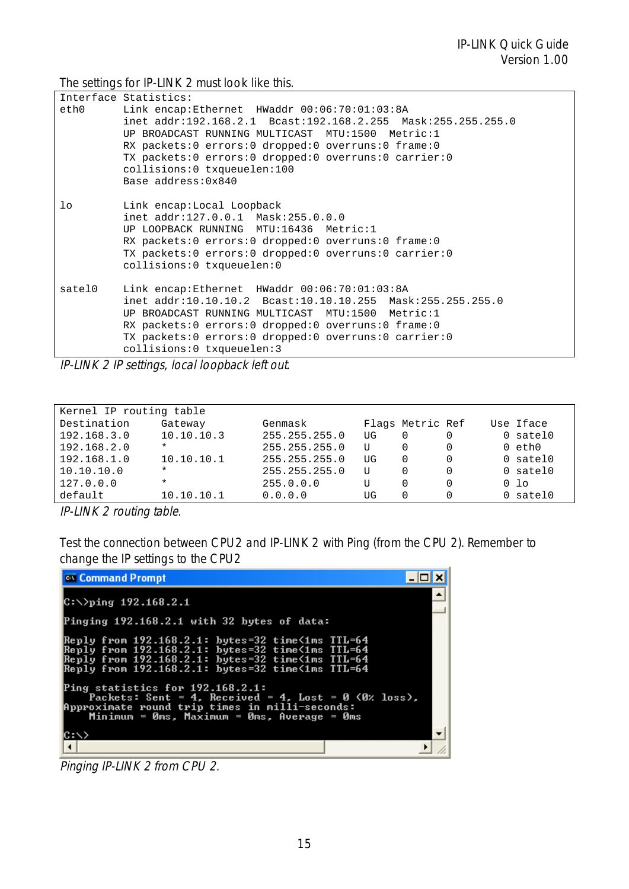The settings for IP-LINK 2 must look like this.

|        | Interface Statistics:                                                                                                                                                                                                                                                                                                                |
|--------|--------------------------------------------------------------------------------------------------------------------------------------------------------------------------------------------------------------------------------------------------------------------------------------------------------------------------------------|
| ethO   | Link encap:Ethernet HWaddr 00:06:70:01:03:8A<br>inet addr:192.168.2.1 Bcast:192.168.2.255 Mask:255.255.255.0<br>UP BROADCAST RUNNING MULTICAST MTU:1500 Metric:1<br>RX packets:0 errors:0 dropped:0 overruns:0 frame:0<br>TX packets:0 errors:0 dropped:0 overruns:0 carrier:0<br>collisions:0 txqueuelen:100<br>Base address: 0x840 |
| lo     | Link encap: Local Loopback<br>inet addr:127.0.0.1 Mask:255.0.0.0<br>UP LOOPBACK RUNNING MTU:16436 Metric:1<br>RX packets:0 errors:0 dropped:0 overruns:0 frame:0<br>TX packets:0 errors:0 dropped:0 overruns:0 carrier:0<br>collisions:0 txqueuelen:0                                                                                |
| satel0 | Link encap:Ethernet HWaddr 00:06:70:01:03:8A<br>inet addr:10.10.10.2 Bcast:10.10.10.255 Mask:255.255.255.0<br>UP BROADCAST RUNNING MULTICAST MTU:1500 Metric:1<br>RX packets:0 errors:0 dropped:0 overruns:0 frame:0<br>TX packets:0 errors:0 dropped:0 overruns:0 carrier:0<br>collisions:0 txqueuelen:3                            |

IP-LINK 2 IP settings, local loopback left out.

| Kernel IP routing table |            |               |    |                  |  |                 |
|-------------------------|------------|---------------|----|------------------|--|-----------------|
| Destination             | Gateway    | Genmask       |    | Flags Metric Ref |  | Use Iface       |
| 192.168.3.0             | 10.10.10.3 | 255.255.255.0 | UG |                  |  | 0 satel0        |
| 192.168.2.0             | $\star$    | 255.255.255.0 |    | 0                |  | $0$ eth $0$     |
| 192.168.1.0             | 10.10.10.1 | 255.255.255.0 | UG | 0                |  | $0$ satel $0$   |
| 10.10.10.0              | $\star$    | 255.255.255.0 |    | 0                |  | $0$ satel $0$   |
| 127.0.0.0               | $\star$    | 255.0.0.0     | U  | 0                |  | 0 <sub>10</sub> |
| default                 | 10.10.10.1 | 0.0.0.0       | UG |                  |  | $0$ satel $0$   |

IP-LINK 2 routing table.

Test the connection between CPU2 and IP-LINK 2 with Ping (from the CPU 2). Remember to change the IP settings to the CPU2

| ex Command Prompt                                                                                                                                                                                               |  |
|-----------------------------------------------------------------------------------------------------------------------------------------------------------------------------------------------------------------|--|
| C:\>ping 192.168.2.1                                                                                                                                                                                            |  |
| Pinging 192.168.2.1 with 32 bytes of data:                                                                                                                                                                      |  |
| Reply from 192.168.2.1: bytes=32 time<1ms TTL=64<br> Reply from 192.168.2.1: bytes=32 time<1ms TTL=64<br> Reply from 192.168.2.1: bytes=32 time<1ms TTL=64<br> Reply from 192.168.2.1: bytes=32 time<1ms TTL=64 |  |
| Ping statistics for 192.168.2.1:<br>Packets: Sent = 4, Received = 4, Lost = 0 $(0x \text{ loss})$ ,<br>Approximate round trip times in milli-seconds:<br>Minimum = 0ms, Maximum = 0ms, Average = 0ms            |  |
| C:\>                                                                                                                                                                                                            |  |

Pinging IP-LINK 2 from CPU 2.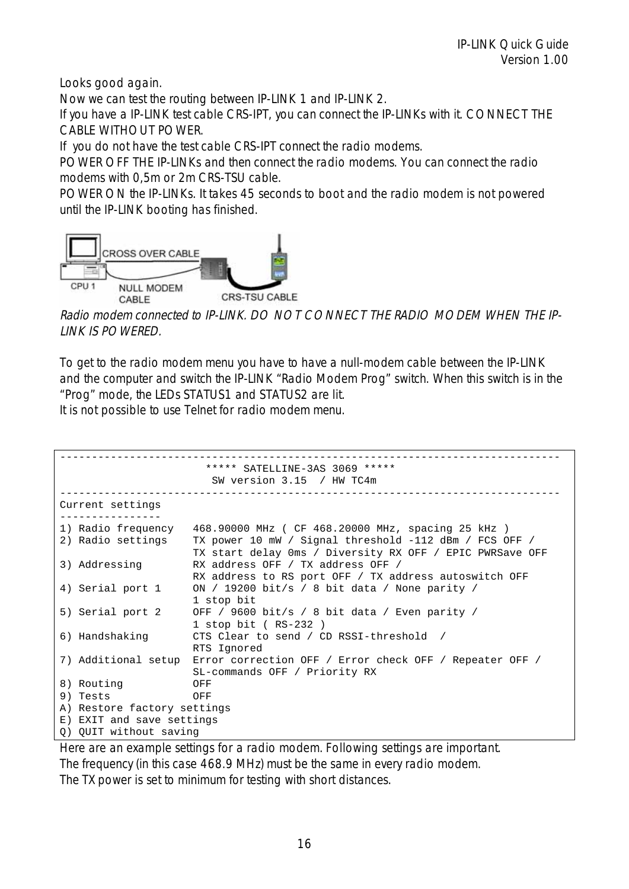Looks good again.

Now we can test the routing between IP-LINK 1 and IP-LINK 2.

If you have a IP-LINK test cable CRS-IPT, you can connect the IP-LINKs with it. CONNECT THE CABLE WITHOUT POWER.

If you do not have the test cable CRS-IPT connect the radio modems.

POWER OFF THE IP-LINKs and then connect the radio modems. You can connect the radio modems with 0,5m or 2m CRS-TSU cable.

POWER ON the IP-LINKs. It takes 45 seconds to boot and the radio modem is not powered until the IP-LINK booting has finished.



Radio modem connected to IP-LINK. DO NOT CONNECT THE RADIO MODEM WHEN THE IP-LINK IS POWERED.

To get to the radio modem menu you have to have a null-modem cable between the IP-LINK and the computer and switch the IP-LINK "Radio Modem Prog" switch. When this switch is in the "Prog" mode, the LEDs STATUS1 and STATUS2 are lit.

It is not possible to use Telnet for radio modem menu.

```
------------------------------------------------------------------------------- 
                         ***** SATELLINE-3AS 3069 ***** 
                          SW version 3.15 / HW TC4m 
------------------------------------------------------------------------------- 
Current settings 
---------------- 
1) Radio frequency 468.90000 MHz ( CF 468.20000 MHz, spacing 25 kHz ) 
2) Radio settings TX power 10 mW / Signal threshold -112 dBm / FCS OFF / 
                      TX start delay 0ms / Diversity RX OFF / EPIC PWRSave OFF 
3) Addressing RX address OFF / TX address OFF / 
                      RX address to RS port OFF / TX address autoswitch OFF 
4) Serial port 1 ON / 19200 bit/s / 8 bit data / None parity / 
                      1 stop bit 
5) Serial port 2 OFF / 9600 bit/s / 8 bit data / Even parity / 
                      1 stop bit ( RS-232 ) 
6) Handshaking CTS Clear to send / CD RSSI-threshold / 
                      RTS Ignored 
7) Additional setup Error correction OFF / Error check OFF / Repeater OFF / 
                      SL-commands OFF / Priority RX 
8) Routing OFF 
9) Tests OFF 
A) Restore factory settings 
E) EXIT and save settings 
Q) QUIT without saving
```
Here are an example settings for a radio modem. Following settings are important.

The frequency (in this case 468.9 MHz) must be the same in every radio modem.

The TX power is set to minimum for testing with short distances.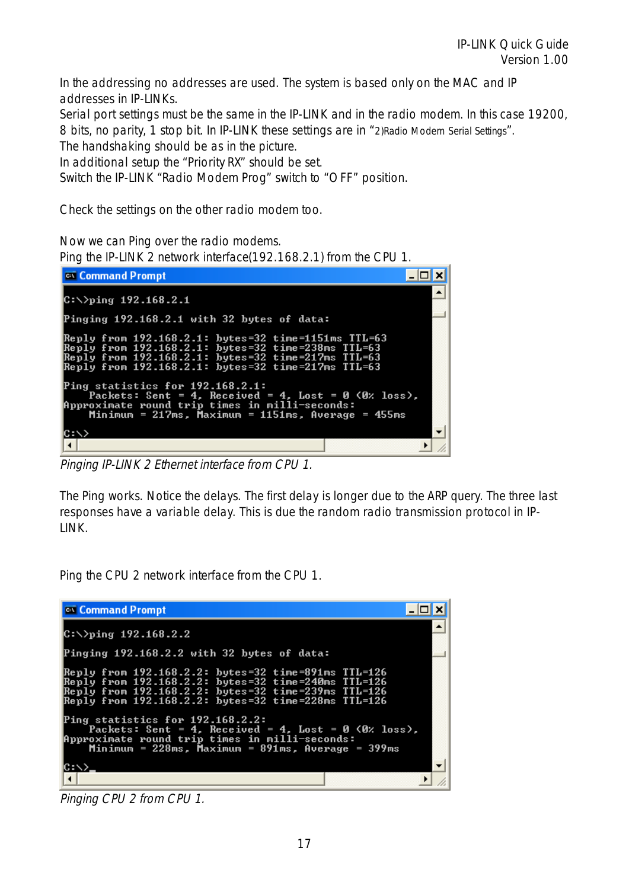In the addressing no addresses are used. The system is based only on the MAC and IP addresses in IP-LINKs.

Serial port settings must be the same in the IP-LINK and in the radio modem. In this case 19200, 8 bits, no parity, 1 stop bit. In IP-LINK these settings are in "2)Radio Modem Serial Settings".

The handshaking should be as in the picture.

In additional setup the "Priority RX" should be set.

Switch the IP-LINK "Radio Modem Prog" switch to "OFF" position.

Check the settings on the other radio modem too.

Now we can Ping over the radio modems.

Ping the IP-LINK 2 network interface(192.168.2.1) from the CPU 1.



Pinging IP-LINK 2 Ethernet interface from CPU 1.

The Ping works. Notice the delays. The first delay is longer due to the ARP query. The three last responses have a variable delay. This is due the random radio transmission protocol in IP-LINK.

Ping the CPU 2 network interface from the CPU 1.

| <b>ex Command Prompt</b>                                                                                                                                                                                                  |
|---------------------------------------------------------------------------------------------------------------------------------------------------------------------------------------------------------------------------|
| $ C:\rangle$ )ping 192.168.2.2                                                                                                                                                                                            |
| Pinging 192.168.2.2 with 32 bytes of data:                                                                                                                                                                                |
| Reply from 192.168.2.2: bytes=32 time=891ms TTL=126<br>Reply from 192.168.2.2: bytes=32 time=240ms TTL=126<br>Reply from 192.168.2.2: bytes=32 time=239ms TTL=126<br> Reply from 192.168.2.2: bytes=32 time=228ms TTL=126 |
| Ping statistics for 192.168.2.2:<br>Packets: Sent = 4. Received = 4. Lost = 0 $(0x \text{ loss})$ .<br>Approximate round trip times in milli-seconds:<br>Minimum = $228ms$ , Maximum = $891ms$ , Average = $399ms$        |
| IC:\>,                                                                                                                                                                                                                    |
|                                                                                                                                                                                                                           |

Pinging CPU 2 from CPU 1.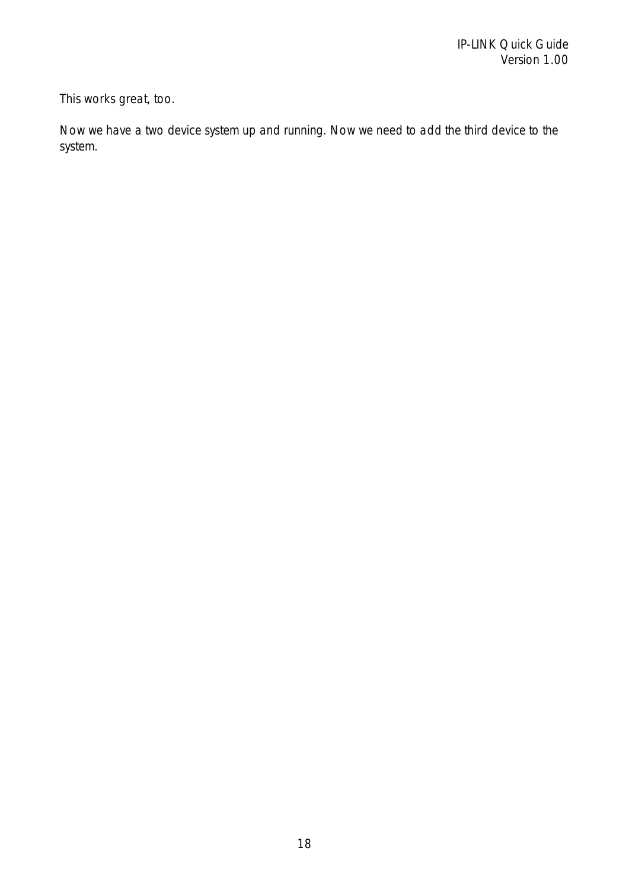This works great, too.

Now we have a two device system up and running. Now we need to add the third device to the system.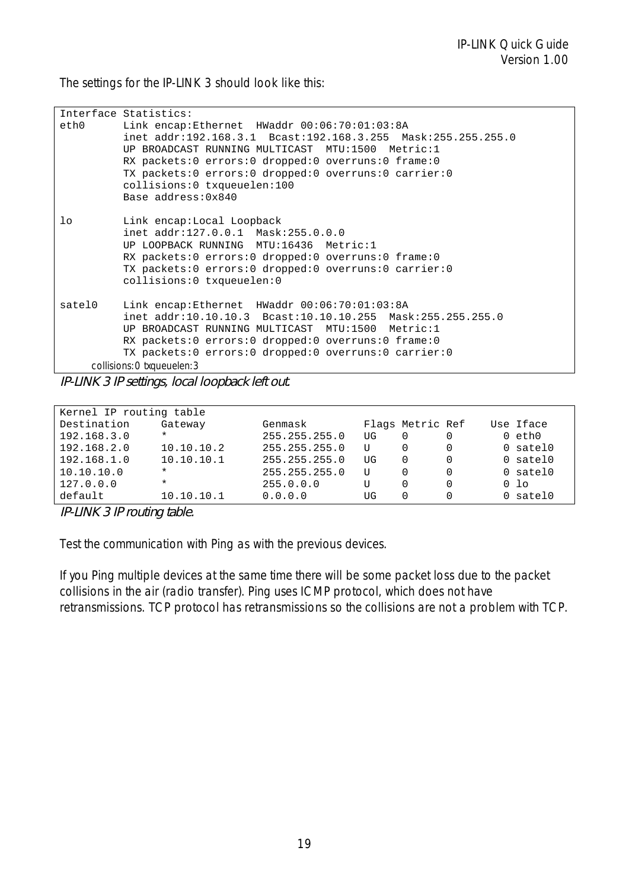The settings for the IP-LINK 3 should look like this:

|        | Interface Statistics:                                                                                                                                                                                                                                                                                                                  |
|--------|----------------------------------------------------------------------------------------------------------------------------------------------------------------------------------------------------------------------------------------------------------------------------------------------------------------------------------------|
| eth0   | Link encap:Ethernet HWaddr 00:06:70:01:03:8A<br>inet addr:192.168.3.1 Bcast:192.168.3.255 Mask:255.255.255.0<br>UP BROADCAST RUNNING MULTICAST MTU:1500 Metric:1<br>RX packets:0 errors:0 dropped:0 overruns:0 frame:0<br>TX packets:0 errors:0 dropped:0 overruns:0 carrier:0<br>collisions:0 txqueuelen:100<br>Base address: $0x840$ |
| lo     | Link encap:Local Loopback<br>inet addr:127.0.0.1 Mask:255.0.0.0<br>UP LOOPBACK RUNNING MTU:16436 Metric:1<br>RX packets:0 errors:0 dropped:0 overruns:0 frame:0<br>TX packets:0 errors:0 dropped:0 overruns:0 carrier:0<br>collisions:0 txqueuelen:0                                                                                   |
| satelO | Link encap:Ethernet HWaddr 00:06:70:01:03:8A<br>inet addr:10.10.10.3 Bcast:10.10.10.255 Mask:255.255.255.0<br>UP BROADCAST RUNNING MULTICAST MTU:1500 Metric:1<br>RX packets:0 errors:0 dropped:0 overruns:0 frame:0<br>TX packets:0 errors:0 dropped:0 overruns:0 carrier:0<br>collisions: 0 txqueuelen: 3                            |

IP-LINK 3 IP settings, local loopback left out.

| Kernel IP routing table |            |               |    |                  |  |                 |  |
|-------------------------|------------|---------------|----|------------------|--|-----------------|--|
| Destination             | Gateway    | Genmask       |    | Flags Metric Ref |  | Use Iface       |  |
| 192.168.3.0             | $\star$    | 255.255.255.0 | UG | 0                |  | $0$ eth $0$     |  |
| 192.168.2.0             | 10.10.10.2 | 255.255.255.0 |    | 0                |  | $0$ satel $0$   |  |
| 192.168.1.0             | 10.10.10.1 | 255.255.255.0 | UG | 0                |  | 0 satel0        |  |
| 10.10.10.0              | $\star$    | 255.255.255.0 |    | 0                |  | $0$ satel $0$   |  |
| 127.0.0.0               | $\star$    | 255.0.0.0     |    | 0                |  | 0 <sub>10</sub> |  |
| default                 | 10.10.10.1 | 0.0.0.0       | UG | 0                |  | $0$ satel $0$   |  |

IP-LINK 3 IP routing table.

Test the communication with Ping as with the previous devices.

If you Ping multiple devices at the same time there will be some packet loss due to the packet collisions in the air (radio transfer). Ping uses ICMP protocol, which does not have retransmissions. TCP protocol has retransmissions so the collisions are not a problem with TCP.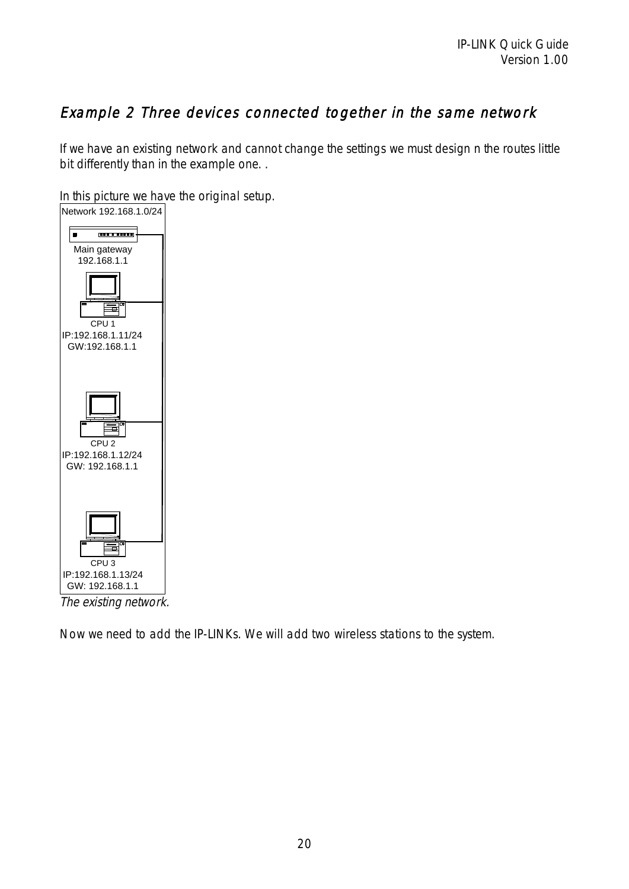### Example 2 Three devices connected together in the same network

If we have an existing network and cannot change the settings we must design n the routes little bit differently than in the example one. .

In this picture we have the original setup.



Now we need to add the IP-LINKs. We will add two wireless stations to the system.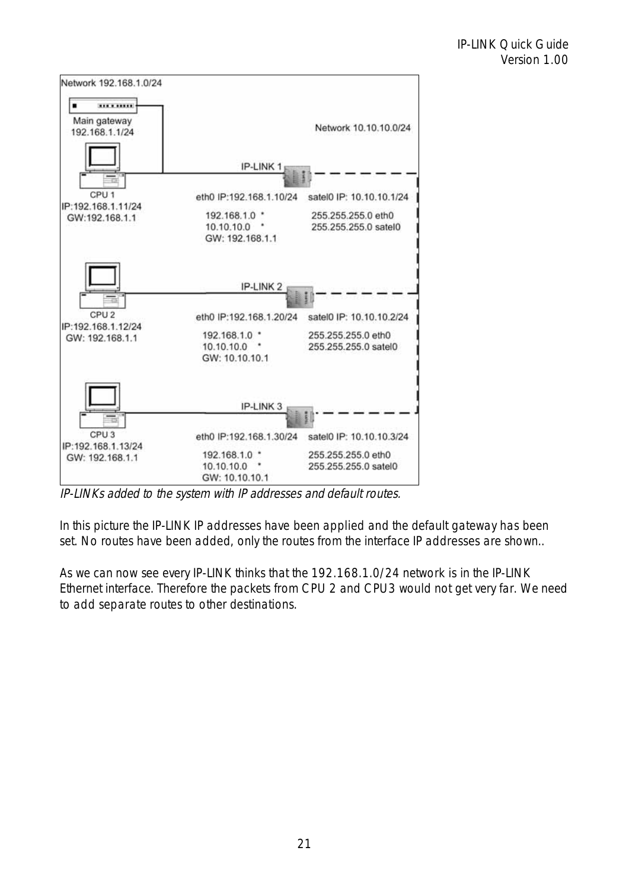

IP-LINKs added to the system with IP addresses and default routes.

In this picture the IP-LINK IP addresses have been applied and the default gateway has been set. No routes have been added, only the routes from the interface IP addresses are shown..

As we can now see every IP-LINK thinks that the 192.168.1.0/24 network is in the IP-LINK Ethernet interface. Therefore the packets from CPU 2 and CPU3 would not get very far. We need to add separate routes to other destinations.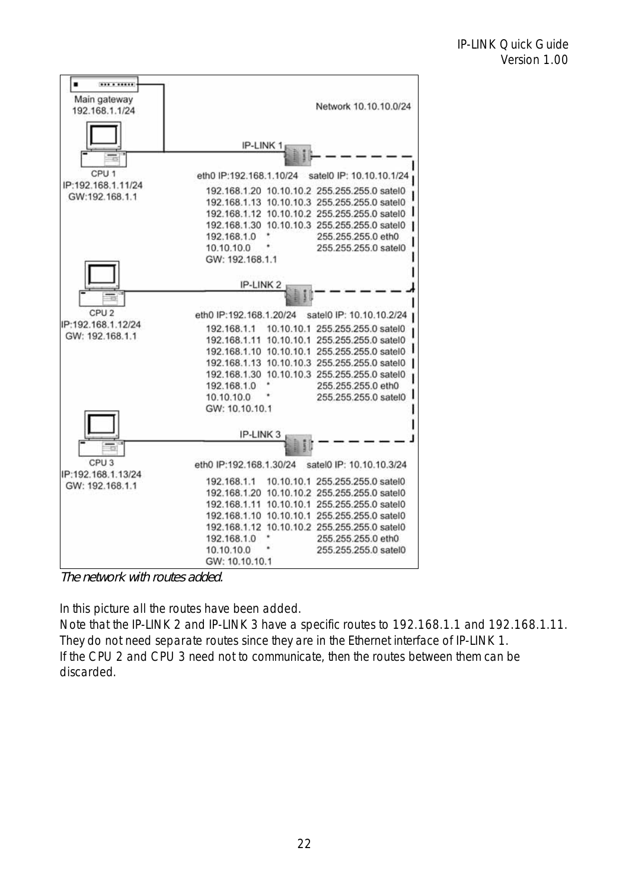

The network with routes added.

In this picture all the routes have been added.

Note that the IP-LINK 2 and IP-LINK 3 have a specific routes to 192.168.1.1 and 192.168.1.11. They do not need separate routes since they are in the Ethernet interface of IP-LINK 1. If the CPU 2 and CPU 3 need not to communicate, then the routes between them can be discarded.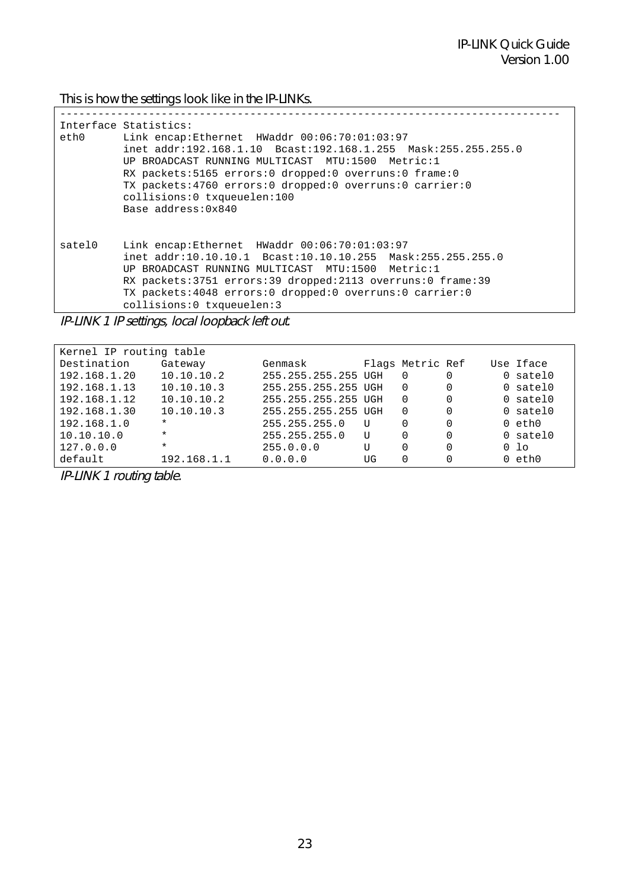This is how the settings look like in the IP-LINKs.

|        | Interface Statistics:                                           |
|--------|-----------------------------------------------------------------|
| eth0   | Link encap:Ethernet HWaddr 00:06:70:01:03:97                    |
|        | inet addr:192.168.1.10 Bcast:192.168.1.255 Mask:255.255.255.0   |
|        | UP BROADCAST RUNNING MULTICAST MTU:1500 Metric:1                |
|        | RX packets:5165 errors:0 dropped:0 overruns:0 frame:0           |
|        | TX packets:4760 errors:0 dropped:0 overruns:0 carrier:0         |
|        | collisions:0 txqueuelen:100                                     |
|        | Base address: 0x840                                             |
|        |                                                                 |
| satel0 | Link encap:Ethernet HWaddr 00:06:70:01:03:97                    |
|        | inet addr:10.10.10.1 Bcast:10.10.10.255 Mask:255.255.255.0      |
|        | UP BROADCAST RUNNING MULTICAST MTU:1500 Metric:1                |
|        | RX packets: 3751 errors: 39 dropped: 2113 overruns: 0 frame: 39 |
|        | TX packets: 4048 errors: 0 dropped: 0 overruns: 0 carrier: 0    |
|        | collisions:0 txqueuelen:3                                       |

IP-LINK 1 IP settings, local loopback left out.

| Kernel IP routing table |             |                     |    |                  |          |  |                 |
|-------------------------|-------------|---------------------|----|------------------|----------|--|-----------------|
| Destination             | Gateway     | Genmask             |    | Flags Metric Ref |          |  | Use Iface       |
| 192.168.1.20            | 10.10.10.2  | 255.255.255.255 UGH |    | 0                |          |  | 0 satel0        |
| 192.168.1.13            | 10.10.10.3  | 255.255.255.255 UGH |    | $\Omega$         |          |  | $0$ satel $0$   |
| 192.168.1.12            | 10.10.10.2  | 255.255.255.255 UGH |    | $\Omega$         |          |  | $0$ satel $0$   |
| 192.168.1.30            | 10.10.10.3  | 255.255.255.255 UGH |    | $\Omega$         | $\Omega$ |  | $0$ satel $0$   |
| 192.168.1.0             | $\star$     | 255.255.255.0       | U  |                  |          |  | $0$ eth $0$     |
| 10.10.10.0              | $\star$     | 255.255.255.0       | ŢŢ |                  |          |  | $0$ satel $0$   |
| 127.0.0.0               | $\star$     | 255.0.0.0           | U  |                  | $\Omega$ |  | 0 <sub>10</sub> |
| default                 | 192.168.1.1 | 0.0.0.0             | UG |                  |          |  | $0$ eth $0$     |

IP-LINK 1 routing table.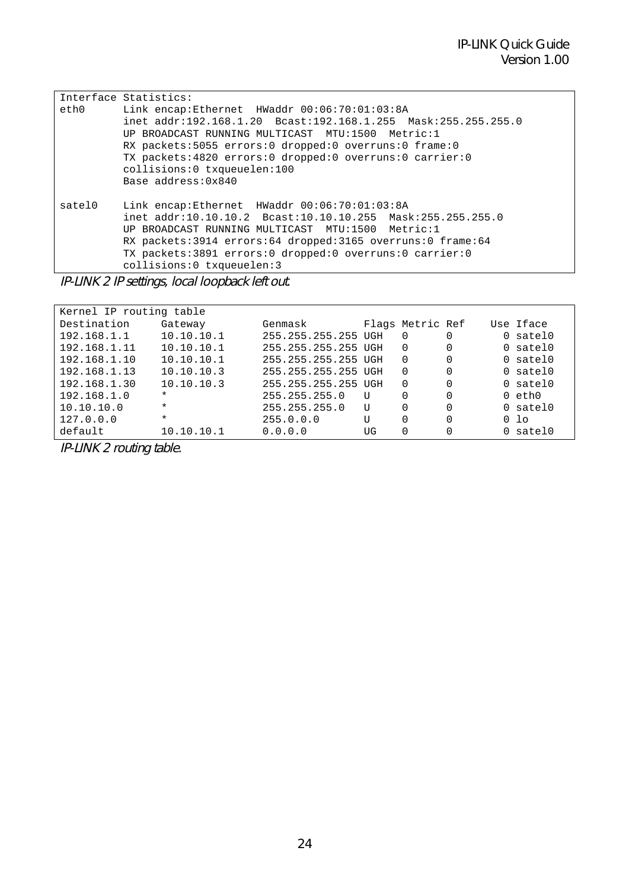|        | Interface Statistics:                                         |
|--------|---------------------------------------------------------------|
| eth0   | Link encap:Ethernet HWaddr 00:06:70:01:03:8A                  |
|        | inet addr:192.168.1.20 Bcast:192.168.1.255 Mask:255.255.255.0 |
|        | UP BROADCAST RUNNING MULTICAST MTU:1500 Metric:1              |
|        | RX packets:5055 errors:0 dropped:0 overruns:0 frame:0         |
|        | TX packets:4820 errors:0 dropped:0 overruns:0 carrier:0       |
|        | collisions:0 txqueuelen:100                                   |
|        | Base address: 0x840                                           |
| satel0 | Link encap:Ethernet HWaddr 00:06:70:01:03:8A                  |
|        | inet addr:10.10.10.2 Bcast:10.10.10.255 Mask:255.255.255.0    |
|        | UP BROADCAST RUNNING MULTICAST MTU:1500 Metric:1              |
|        | RX packets:3914 errors:64 dropped:3165 overruns:0 frame:64    |
|        | TX packets:3891 errors:0 dropped:0 overruns:0 carrier:0       |
|        | collisions:0 txqueuelen:3                                     |

IP-LINK 2 IP settings, local loopback left out.

| Kernel IP routing table |            |                     |    |                  |  |                 |
|-------------------------|------------|---------------------|----|------------------|--|-----------------|
| Destination             | Gateway    | Genmask             |    | Flags Metric Ref |  | Use Iface       |
| 192.168.1.1             | 10.10.10.1 | 255.255.255.255 UGH |    | 0                |  | $0$ satel $0$   |
| 192.168.1.11            | 10.10.10.1 | 255.255.255.255 UGH |    | 0                |  | $0$ satel $0$   |
| 192.168.1.10            | 10.10.10.1 | 255.255.255.255 UGH |    | 0                |  | 0 satel0        |
| 192.168.1.13            | 10.10.10.3 | 255.255.255.255 UGH |    | 0                |  | $0$ satel $0$   |
| 192.168.1.30            | 10.10.10.3 | 255.255.255.255 UGH |    | 0                |  | $0$ satel $0$   |
| 192.168.1.0             | $\star$    | 255.255.255.0       | ŢJ | 0                |  | $0$ eth $0$     |
| 10.10.10.0              | $\star$    | 255.255.255.0       | ŢŢ | 0                |  | $0$ satel $0$   |
| 127.0.0.0               | $\star$    | 255.0.0.0           | U  | 0                |  | 0 <sub>10</sub> |
| default                 | 10.10.10.1 | 0.0.0.0             | UG | 0                |  | $0$ satel $0$   |

IP-LINK 2 routing table.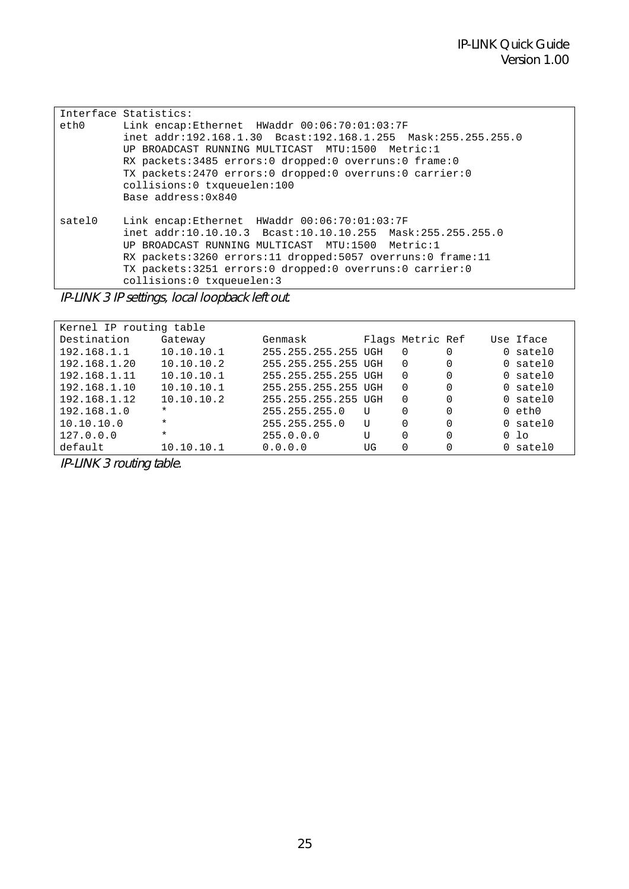|        | Interface Statistics:                                         |
|--------|---------------------------------------------------------------|
| eth0   | Link encap:Ethernet HWaddr 00:06:70:01:03:7F                  |
|        | inet addr:192.168.1.30 Bcast:192.168.1.255 Mask:255.255.255.0 |
|        | UP BROADCAST RUNNING MULTICAST MTU:1500 Metric:1              |
|        | RX packets:3485 errors:0 dropped:0 overruns:0 frame:0         |
|        | TX packets:2470 errors:0 dropped:0 overruns:0 carrier:0       |
|        | collisions:0 txqueuelen:100                                   |
|        | Base address: $0x840$                                         |
| satel0 | Link encap:Ethernet HWaddr 00:06:70:01:03:7F                  |
|        | inet addr:10.10.10.3 Bcast:10.10.10.255 Mask:255.255.255.0    |
|        | UP BROADCAST RUNNING MULTICAST MTU:1500 Metric:1              |
|        | RX packets:3260 errors:11 dropped:5057 overruns:0 frame:11    |
|        | TX packets:3251 errors:0 dropped:0 overruns:0 carrier:0       |
|        | collisions: 0 txqueuelen: 3                                   |

IP-LINK 3 IP settings, local loopback left out.

| Kernel IP routing table |            |                     |    |                  |          |                 |
|-------------------------|------------|---------------------|----|------------------|----------|-----------------|
| Destination             | Gateway    | Genmask             |    | Flags Metric Ref |          | Use Iface       |
| 192.168.1.1             | 10.10.10.1 | 255.255.255.255 UGH |    | $\Omega$         | 0        | $0$ satel $0$   |
| 192.168.1.20            | 10.10.10.2 | 255.255.255.255 UGH |    | $\Omega$         | 0        | $0$ satel $0$   |
| 192.168.1.11            | 10.10.10.1 | 255.255.255.255 UGH |    | $\Omega$         | $\Omega$ | $0$ satel $0$   |
| 192.168.1.10            | 10.10.10.1 | 255.255.255.255 UGH |    | $\Omega$         | 0        | $0$ satel $0$   |
| 192.168.1.12            | 10.10.10.2 | 255.255.255.255 UGH |    | $\Omega$         |          | $0$ satel $0$   |
| 192.168.1.0             | $\ast$     | 255.255.255.0       | τT | $\Omega$         |          | $0$ eth $0$     |
| 10.10.10.0              | $\star$    | 255.255.255.0       | τT | 0                | 0        | 0 satel0        |
| 127.0.0.0               | $\star$    | 255.0.0.0           | τT | 0                | 0        | 0 <sub>10</sub> |
| default                 | 10.10.10.1 | 0.0.0.0             | UG | 0                |          | 0 satel0        |

IP-LINK 3 routing table.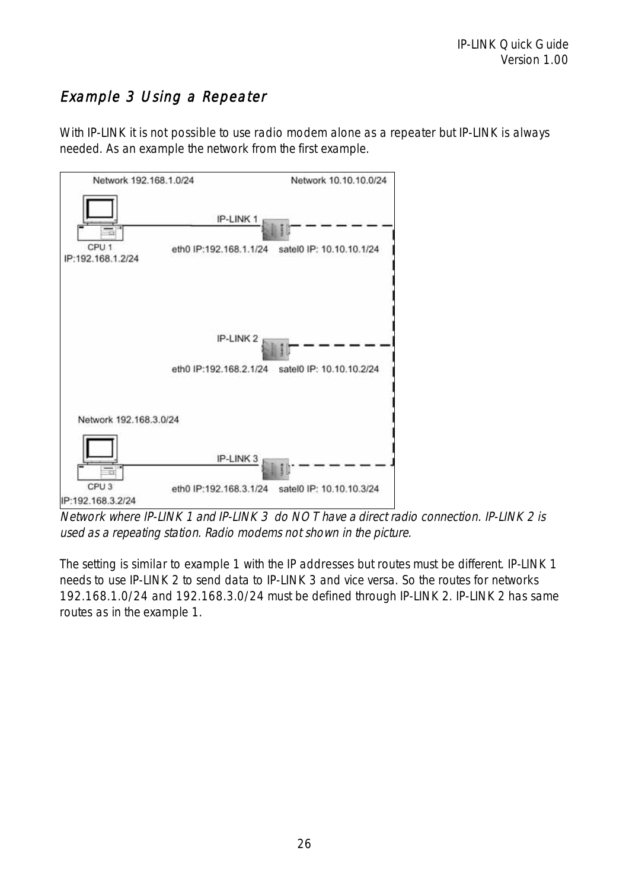### Example 3 Using a Repeater

With IP-LINK it is not possible to use radio modem alone as a repeater but IP-LINK is always needed. As an example the network from the first example.



Network where IP-LINK 1 and IP-LINK 3 do NOT have a direct radio connection. IP-LINK 2 is used as a repeating station. Radio modems not shown in the picture.

The setting is similar to example 1 with the IP addresses but routes must be different. IP-LINK 1 needs to use IP-LINK 2 to send data to IP-LINK 3 and vice versa. So the routes for networks 192.168.1.0/24 and 192.168.3.0/24 must be defined through IP-LINK 2. IP-LINK 2 has same routes as in the example 1.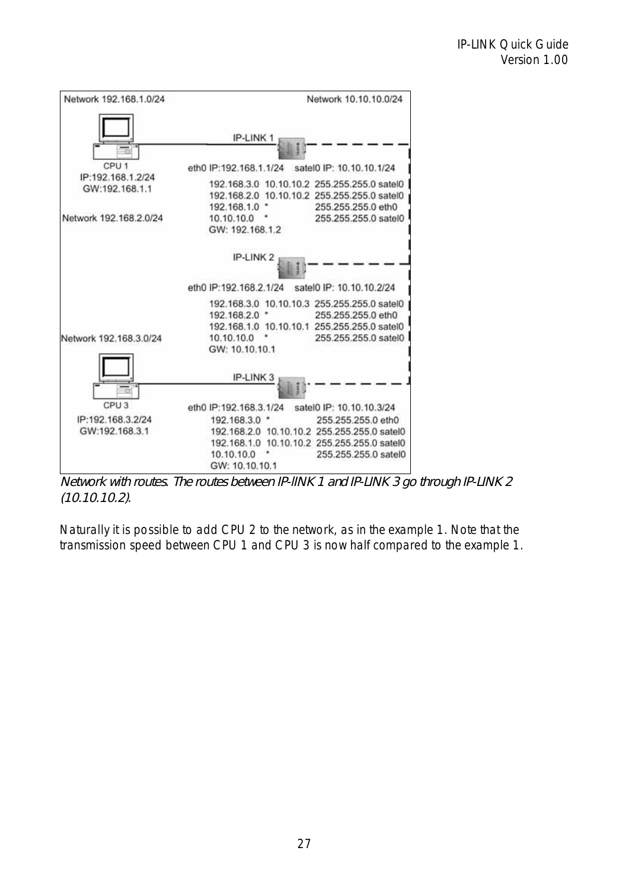

Network with routes. The routes between IP-lINK 1 and IP-LINK 3 go through IP-LINK 2 (10.10.10.2).

Naturally it is possible to add CPU 2 to the network, as in the example 1. Note that the transmission speed between CPU 1 and CPU 3 is now half compared to the example 1.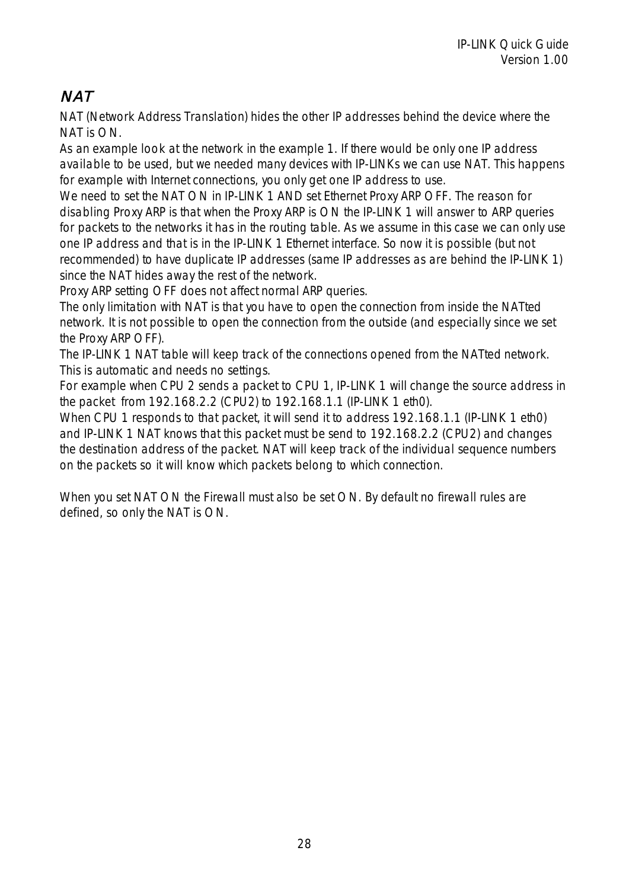## **NAT**

NAT (Network Address Translation) hides the other IP addresses behind the device where the NAT is ON.

As an example look at the network in the example 1. If there would be only one IP address available to be used, but we needed many devices with IP-LINKs we can use NAT. This happens for example with Internet connections, you only get one IP address to use.

We need to set the NAT ON in IP-LINK 1 AND set Ethernet Proxy ARP OFF. The reason for disabling Proxy ARP is that when the Proxy ARP is ON the IP-LINK 1 will answer to ARP queries for packets to the networks it has in the routing table. As we assume in this case we can only use one IP address and that is in the IP-LINK 1 Ethernet interface. So now it is possible (but not recommended) to have duplicate IP addresses (same IP addresses as are behind the IP-LINK 1) since the NAT hides away the rest of the network.

Proxy ARP setting OFF does not affect normal ARP queries.

The only limitation with NAT is that you have to open the connection from inside the NATted network. It is not possible to open the connection from the outside (and especially since we set the Proxy ARP OFF).

The IP-LINK 1 NAT table will keep track of the connections opened from the NATted network. This is automatic and needs no settings.

For example when CPU 2 sends a packet to CPU 1, IP-LINK 1 will change the source address in the packet from 192.168.2.2 (CPU2) to 192.168.1.1 (IP-LINK 1 eth0).

When CPU 1 responds to that packet, it will send it to address 192.168.1.1 (IP-LINK 1 eth0) and IP-LINK 1 NAT knows that this packet must be send to 192.168.2.2 (CPU2) and changes the destination address of the packet. NAT will keep track of the individual sequence numbers on the packets so it will know which packets belong to which connection.

When you set NAT ON the Firewall must also be set ON. By default no firewall rules are defined, so only the NAT is ON.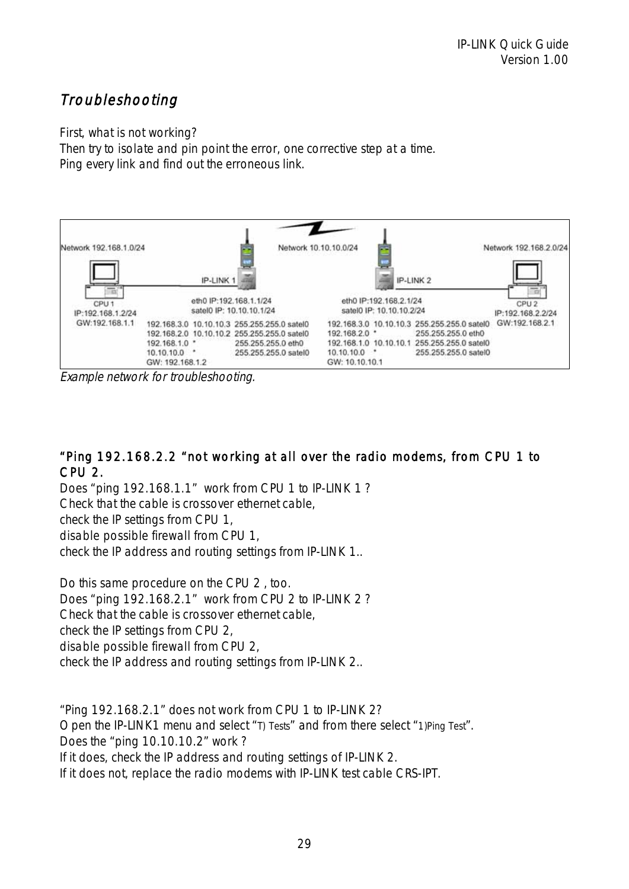### Troubleshooting

First, what is not working?

Then try to isolate and pin point the error, one corrective step at a time. Ping every link and find out the erroneous link.



Example network for troubleshooting.

#### "Ping 192.168.2.2 "not working at all over the radio modems, from CPU 1 to CPU 2.

Does "ping 192.168.1.1" work from CPU 1 to IP-LINK 1 ? Check that the cable is crossover ethernet cable, check the IP settings from CPU 1, disable possible firewall from CPU 1, check the IP address and routing settings from IP-LINK 1..

Do this same procedure on the CPU 2 , too. Does "ping 192.168.2.1" work from CPU 2 to IP-LINK 2 ? Check that the cable is crossover ethernet cable, check the IP settings from CPU 2, disable possible firewall from CPU 2, check the IP address and routing settings from IP-LINK 2..

"Ping 192.168.2.1" does not work from CPU 1 to IP-LINK 2? Open the IP-LINK1 menu and select "T) Tests" and from there select "1)Ping Test". Does the "ping 10.10.10.2" work ? If it does, check the IP address and routing settings of IP-LINK 2. If it does not, replace the radio modems with IP-LINK test cable CRS-IPT.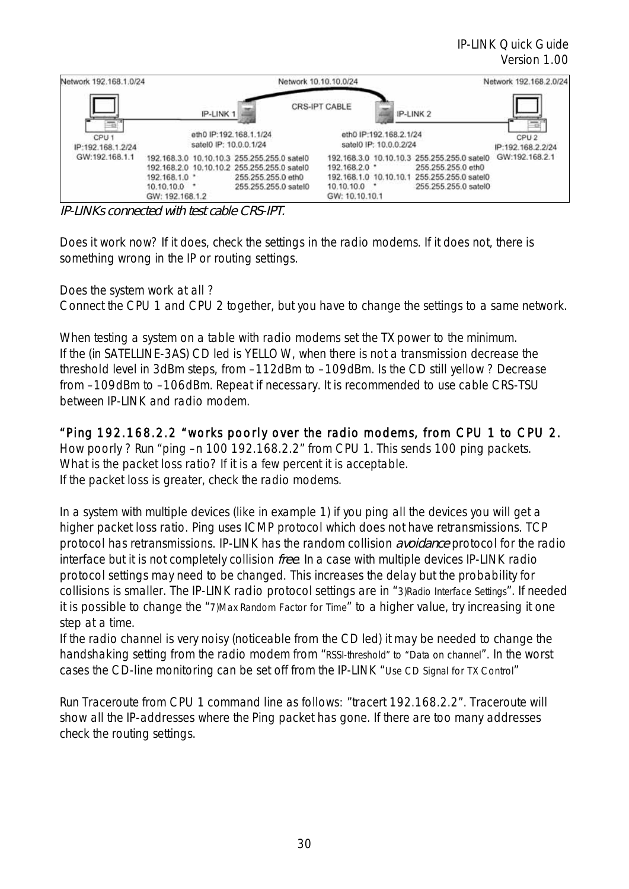

IP-LINKs connected with test cable CRS-IPT.

Does it work now? If it does, check the settings in the radio modems. If it does not, there is something wrong in the IP or routing settings.

Does the system work at all ?

Connect the CPU 1 and CPU 2 together, but you have to change the settings to a same network.

When testing a system on a table with radio modems set the TX power to the minimum. If the (in SATELLINE-3AS) CD led is YELLOW, when there is not a transmission decrease the threshold level in 3dBm steps, from –112dBm to –109dBm. Is the CD still yellow ? Decrease from –109dBm to –106dBm. Repeat if necessary. It is recommended to use cable CRS-TSU between IP-LINK and radio modem.

"Ping 192.168.2.2 "works poorly over the radio modems, from CPU 1 to CPU 2. How poorly ? Run "ping –n 100 192.168.2.2" from CPU 1. This sends 100 ping packets. What is the packet loss ratio? If it is a few percent it is acceptable. If the packet loss is greater, check the radio modems.

In a system with multiple devices (like in example 1) if you ping all the devices you will get a higher packet loss ratio. Ping uses ICMP protocol which does not have retransmissions. TCP protocol has retransmissions. IP-LINK has the random collision avoidance protocol for the radio interface but it is not completely collision *free*. In a case with multiple devices IP-LINK radio protocol settings may need to be changed. This increases the delay but the probability for collisions is smaller. The IP-LINK radio protocol settings are in "3)Radio Interface Settings". If needed it is possible to change the "7)Max Random Factor for Time" to a higher value, try increasing it one step at a time.

If the radio channel is very noisy (noticeable from the CD led) it may be needed to change the handshaking setting from the radio modem from "RSSI-threshold" to "Data on channel". In the worst cases the CD-line monitoring can be set off from the IP-LINK "Use CD Signal for TX Control"

Run Traceroute from CPU 1 command line as follows: "tracert 192.168.2.2". Traceroute will show all the IP-addresses where the Ping packet has gone. If there are too many addresses check the routing settings.